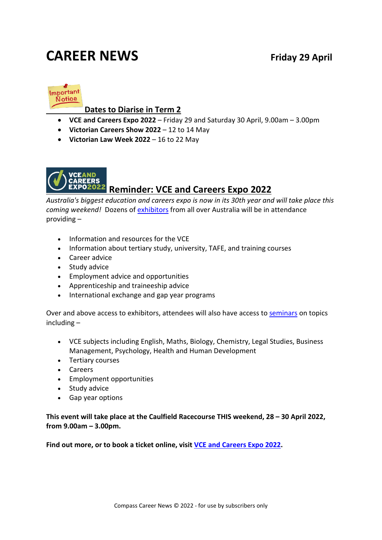# **CAREER NEWS Friday 29 April**



#### **Dates to Diarise in Term 2**

- **VCE and Careers Expo 2022** Friday 29 and Saturday 30 April, 9.00am 3.00pm
- **Victorian Careers Show 2022** 12 to 14 May
- **Victorian Law Week 2022** 16 to 22 May



# **P22** Reminder: VCE and Careers Expo 2022

*Australia's biggest education and careers expo is now in its 30th year and will take place this coming weekend!* Dozens of [exhibitors](https://www.vceandcareers.com.au/exhibitors) from all over Australia will be in attendance providing –

- Information and resources for the VCE
- Information about tertiary study, university, TAFE, and training courses
- Career advice
- Study advice
- Employment advice and opportunities
- Apprenticeship and traineeship advice
- International exchange and gap year programs

Over and above access to exhibitors, attendees will also have access t[o seminars](https://www.vceandcareers.com.au/Seminars) on topics including –

- VCE subjects including English, Maths, Biology, Chemistry, Legal Studies, Business Management, Psychology, Health and Human Development
- Tertiary courses
- Careers
- Employment opportunities
- Study advice
- Gap year options

**This event will take place at the Caulfield Racecourse THIS weekend, 28 – 30 April 2022, from 9.00am – 3.00pm.**

**Find out more, or to book a ticket online, visit [VCE and Careers Expo 2022.](https://www.vceandcareers.com.au/)**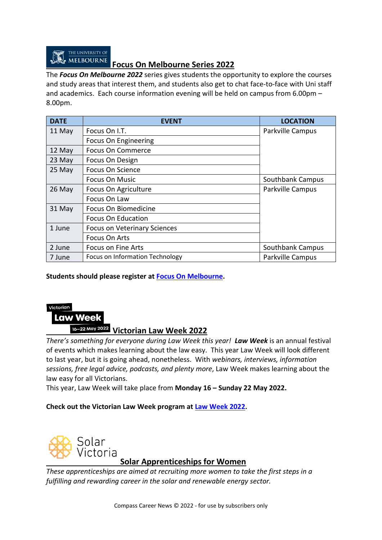

#### **Focus On Melbourne Series 2022**

The *Focus On Melbourne 2022* series gives students the opportunity to explore the courses and study areas that interest them, and students also get to chat face-to-face with Uni staff and academics. Each course information evening will be held on campus from 6.00pm – 8.00pm.

| <b>DATE</b> | <b>EVENT</b>                           | <b>LOCATION</b>         |
|-------------|----------------------------------------|-------------------------|
| 11 May      | Focus On I.T.                          | Parkville Campus        |
|             | Focus On Engineering                   |                         |
| 12 May      | <b>Focus On Commerce</b>               |                         |
| 23 May      | Focus On Design                        |                         |
| 25 May      | Focus On Science                       |                         |
|             | <b>Focus On Music</b>                  | Southbank Campus        |
| $26$ May    | Focus On Agriculture                   | Parkville Campus        |
|             | Focus On Law                           |                         |
| 31 May      | Focus On Biomedicine                   |                         |
|             | <b>Focus On Education</b>              |                         |
| 1 June      | <b>Focus on Veterinary Sciences</b>    |                         |
|             | Focus On Arts                          |                         |
| 2 June      | Focus on Fine Arts                     | Southbank Campus        |
| 7 June      | <b>Focus on Information Technology</b> | <b>Parkville Campus</b> |

#### **Students should please register at [Focus On Melbourne.](https://study.unimelb.edu.au/connect-with-us/focus-on-melbourne)**

#### Victorian

## **Law Week**

# **Victorian Law Week 2022**

*There's something for everyone during Law Week this year! Law Week* is an annual festival of events which makes learning about the law easy. This year Law Week will look different to last year, but it is going ahead, nonetheless. With *webinars, interviews, information sessions, free legal advice, podcasts, and plenty more*, Law Week makes learning about the law easy for all Victorians.

This year, Law Week will take place from **Monday 16 – Sunday 22 May 2022.**

#### **Check out the Victorian Law Week program at [Law Week 2022.](https://lawweek.net.au/)**



#### **Solar Apprenticeships for Women**

*These apprenticeships are aimed at recruiting more women to take the first steps in a fulfilling and rewarding career in the solar and renewable energy sector.*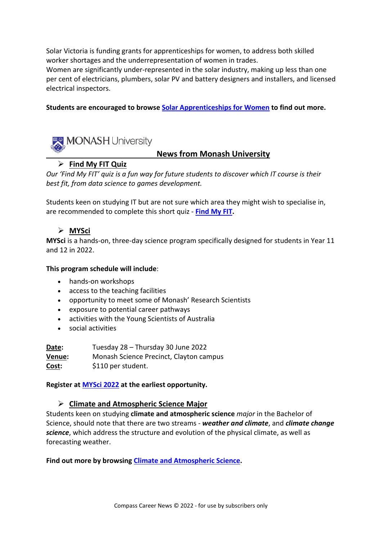Solar Victoria is funding grants for apprenticeships for women, to address both skilled worker shortages and the underrepresentation of women in trades.

Women are significantly under-represented in the solar industry, making up less than one per cent of electricians, plumbers, solar PV and battery designers and installers, and licensed electrical inspectors.

#### **Students are encouraged to browse [Solar Apprenticeships for Women](https://www.solar.vic.gov.au/solar-apprenticeships-women) to find out more.**



#### **News from Monash University**

#### **Find My FIT Quiz**

*Our 'Find My FIT' quiz is a fun way for future students to discover which IT course is their best fit, from data science to games development.* 

Students keen on studying IT but are not sure which area they might wish to specialise in, are recommended to complete this short quiz - **[Find My FIT.](https://www.monash.edu/it/future-students/undergraduate/find-my-fit)**

#### **MYSci**

**MYSci** is a hands-on, three-day science program specifically designed for students in Year 11 and 12 in 2022.

#### **This program schedule will include**:

- hands-on workshops
- access to the teaching facilities
- opportunity to meet some of Monash' Research Scientists
- exposure to potential career pathways
- activities with the Young Scientists of Australia
- social activities

**Date:** Tuesday 28 – Thursday 30 June 2022 **Venue:** Monash Science Precinct, Clayton campus **Cost:** \$110 per student.

**Register at [MYSci 2022](https://shop.monash.edu/mysci-2022.html) at the earliest opportunity.**

#### **Climate and Atmospheric Science Major**

Students keen on studying **climate and atmospheric science** *major* in the Bachelor of Science, should note that there are two streams - *weather and climate*, and *climate change science*, which address the structure and evolution of the physical climate, as well as forecasting weather.

**Find out more by browsing [Climate and Atmospheric Science.](https://handbook.monash.edu/2022/aos/CLATMSCI03?year=2022)**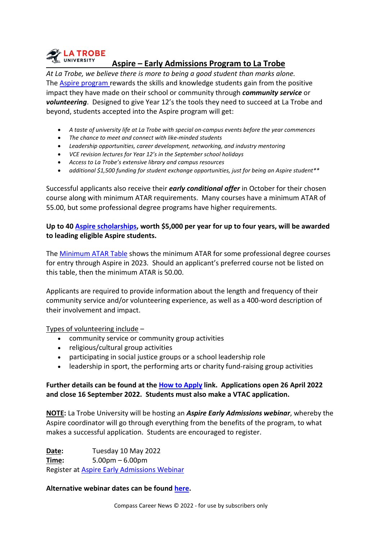

#### **Aspire – Early Admissions Program to La Trobe**

*At La Trobe, we believe there is more to being a good student than marks alone.*  The [Aspire program](https://www.latrobe.edu.au/study/aspire) rewards the skills and knowledge students gain from the positive impact they have made on their school or community through *community service* or *volunteering*. Designed to give Year 12's the tools they need to succeed at La Trobe and beyond, students accepted into the Aspire program will get:

- *A taste of university life at La Trobe with special on-campus events before the year commences*
- *The chance to meet and connect with like-minded students*
- *Leadership opportunities, career development, networking, and industry mentoring*
- *VCE revision lectures for Year 12's in the September school holidays*
- *Access to La Trobe's extensive library and campus resources*
- *additional \$1,500 funding for student exchange opportunities, just for being an Aspire student\*\**

Successful applicants also receive their *early conditional offer* in October for their chosen course along with minimum ATAR requirements. Many courses have a minimum ATAR of 55.00, but some professional degree programs have higher requirements.

#### **Up to 40 [Aspire scholarships,](https://www.latrobe.edu.au/study/aspire/about-aspire/aspire-scholarships) worth \$5,000 per year for up to four years, will be awarded to leading eligible Aspire students.**

The [Minimum ATAR Table](https://www.latrobe.edu.au/study/aspire/how-to-apply/minimum-atar-requirements) shows the minimum ATAR for some professional degree courses for entry through Aspire in 2023*.* Should an applicant's preferred course not be listed on this table, then the minimum ATAR is 50.00.

Applicants are required to provide information about the length and frequency of their community service and/or volunteering experience, as well as a 400-word description of their involvement and impact.

Types of volunteering include –

- community service or community group activities
- religious/cultural group activities
- participating in social justice groups or a school leadership role
- leadership in sport, the performing arts or charity fund-raising group activities

#### **Further details can be found at the [How to Apply](https://www.latrobe.edu.au/study/aspire/how-to-apply) link. Applications open 26 April 2022 and close 16 September 2022. Students must also make a VTAC application.**

**NOTE:** La Trobe University will be hosting an *Aspire Early Admissions webinar*, whereby the Aspire coordinator will go through everything from the benefits of the program, to what makes a successful application. Students are encouraged to register.

**Date:** Tuesday 10 May 2022 **Time:** 5.00pm – 6.00pm Register at [Aspire Early Admissions Webinar](https://www.latrobe.edu.au/events/all/la-trobe-aspire-early-admissions-webinar3)

#### **Alternative webinar dates can be found [here.](https://www.latrobe.edu.au/study/aspire/about-aspire/aspire-webinars)**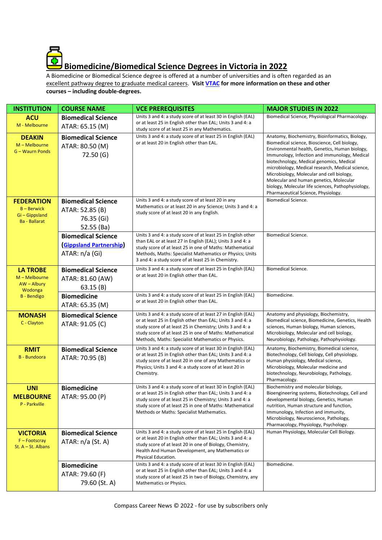

A Biomedicine or Biomedical Science degree is offered at a number of universities and is often regarded as an excellent pathway degree to graduate medical careers. **Visit [VTAC](http://www.vtac.edu.au/) for more information on these and other courses – including double-degrees.**

| <b>INSTITUTION</b>                                                                 | <b>COURSE NAME</b>                                                            | <b>VCE PREREQUISITES</b>                                                                                                                                                                                                                                                                                  | <b>MAJOR STUDIES IN 2022</b>                                                                                                                                                                                                                                                                                                                                                                                                                                                             |
|------------------------------------------------------------------------------------|-------------------------------------------------------------------------------|-----------------------------------------------------------------------------------------------------------------------------------------------------------------------------------------------------------------------------------------------------------------------------------------------------------|------------------------------------------------------------------------------------------------------------------------------------------------------------------------------------------------------------------------------------------------------------------------------------------------------------------------------------------------------------------------------------------------------------------------------------------------------------------------------------------|
| <b>ACU</b><br>M - Melbourne                                                        | <b>Biomedical Science</b><br>ATAR: 65.15 (M)                                  | Units 3 and 4: a study score of at least 30 in English (EAL)<br>or at least 25 in English other than EAL; Units 3 and 4: a<br>study score of at least 25 in any Mathematics.                                                                                                                              | Biomedical Science, Physiological Pharmacology.                                                                                                                                                                                                                                                                                                                                                                                                                                          |
| <b>DEAKIN</b><br>$M - Melbourne$<br>G - Waurn Ponds                                | <b>Biomedical Science</b><br>ATAR: 80.50 (M)<br>72.50(G)                      | Units 3 and 4: a study score of at least 25 in English (EAL)<br>or at least 20 in English other than EAL.                                                                                                                                                                                                 | Anatomy, Biochemistry, Bioinformatics, Biology,<br>Biomedical science, Bioscience, Cell biology,<br>Environmental health, Genetics, Human biology,<br>Immunology, Infection and immunology, Medical<br>biotechnology, Medical genomics, Medical<br>microbiology, Medical research, Medical science,<br>Microbiology, Molecular and cell biology,<br>Molecular and human genetics, Molecular<br>biology, Molecular life sciences, Pathophysiology,<br>Pharmaceutical Science, Physiology. |
| <b>FEDERATION</b><br>$B - Berwick$<br>Gi-Gippsland<br><b>Ba</b> - Ballarat         | <b>Biomedical Science</b><br>ATAR: 52.85 (B)<br>76.35 (Gi)<br>52.55 (Ba)      | Units 3 and 4: a study score of at least 20 in any<br>Mathematics or at least 20 in any Science; Units 3 and 4: a<br>study score of at least 20 in any English.                                                                                                                                           | <b>Biomedical Science.</b>                                                                                                                                                                                                                                                                                                                                                                                                                                                               |
|                                                                                    | <b>Biomedical Science</b><br><b>(Gippsland Partnership)</b><br>ATAR: n/a (Gi) | Units 3 and 4: a study score of at least 25 in English other<br>than EAL or at least 27 in English (EAL); Units 3 and 4: a<br>study score of at least 25 in one of Maths: Mathematical<br>Methods, Maths: Specialist Mathematics or Physics; Units<br>3 and 4: a study score of at least 25 in Chemistry. | <b>Biomedical Science.</b>                                                                                                                                                                                                                                                                                                                                                                                                                                                               |
| <b>LA TROBE</b><br>M - Melbourne<br>$AW - Albury$<br>Wodonga<br><b>B</b> - Bendigo | <b>Biomedical Science</b><br>ATAR: 81.60 (AW)<br>63.15(B)                     | Units 3 and 4: a study score of at least 25 in English (EAL)<br>or at least 20 in English other than EAL.                                                                                                                                                                                                 | <b>Biomedical Science.</b>                                                                                                                                                                                                                                                                                                                                                                                                                                                               |
|                                                                                    | <b>Biomedicine</b><br>ATAR: 65.35 (M)                                         | Units 3 and 4: a study score of at least 25 in English (EAL)<br>or at least 20 in English other than EAL.                                                                                                                                                                                                 | Biomedicine.                                                                                                                                                                                                                                                                                                                                                                                                                                                                             |
| <b>MONASH</b><br>C - Clayton                                                       | <b>Biomedical Science</b><br>ATAR: 91.05 (C)                                  | Units 3 and 4: a study score of at least 27 in English (EAL)<br>or at least 25 in English other than EAL; Units 3 and 4: a<br>study score of at least 25 in Chemistry; Units 3 and 4: a<br>study score of at least 25 in one of Maths: Mathematical<br>Methods, Maths: Specialist Mathematics or Physics. | Anatomy and physiology, Biochemistry,<br>Biomedical science, Biomedicine, Genetics, Health<br>sciences, Human biology, Human sciences,<br>Microbiology, Molecular and cell biology,<br>Neurobiology, Pathology, Pathophysiology.                                                                                                                                                                                                                                                         |
| <b>RMIT</b><br><b>B</b> - Bundoora                                                 | <b>Biomedical Science</b><br>ATAR: 70.95 (B)                                  | Units 3 and 4: a study score of at least 30 in English (EAL)<br>or at least 25 in English other than EAL; Units 3 and 4: a<br>study score of at least 20 in one of any Mathematics or<br>Physics; Units 3 and 4: a study score of at least 20 in<br>Chemistry.                                            | Anatomy, Biochemistry, Biomedical science,<br>Biotechnology, Cell biology, Cell physiology,<br>Human physiology, Medical science,<br>Microbiology, Molecular medicine and<br>biotechnology, Neurobiology, Pathology,<br>Pharmacology.                                                                                                                                                                                                                                                    |
| <b>UNI</b><br><b>MELBOURNE</b><br>P - Parkville                                    | <b>Biomedicine</b><br>ATAR: 95.00 (P)                                         | Units 3 and 4: a study score of at least 30 in English (EAL)<br>or at least 25 in English other than EAL; Units 3 and 4: a<br>study score of at least 25 in Chemistry; Units 3 and 4: a<br>study score of at least 25 in one of Maths: Mathematical<br>Methods or Maths: Specialist Mathematics.          | Biochemistry and molecular biology,<br>Bioengineering systems, Biotechnology, Cell and<br>developmental biology, Genetics, Human<br>nutrition, Human structure and function,<br>Immunology, Infection and immunity,<br>Microbiology, Neuroscience, Pathology,<br>Pharmacology, Physiology, Psychology.                                                                                                                                                                                   |
| <b>VICTORIA</b><br>$F$ – Footscray<br>St. $A - St.$ Albans                         | <b>Biomedical Science</b><br>ATAR: n/a (St. A)                                | Units 3 and 4: a study score of at least 25 in English (EAL)<br>or at least 20 in English other than EAL; Units 3 and 4: a<br>study score of at least 20 in one of Biology, Chemistry,<br>Health And Human Development, any Mathematics or<br>Physical Education.                                         | Human Physiology, Molecular Cell Biology.                                                                                                                                                                                                                                                                                                                                                                                                                                                |
|                                                                                    | <b>Biomedicine</b><br>ATAR: 79.60 (F)<br>79.60 (St. A)                        | Units 3 and 4: a study score of at least 30 in English (EAL)<br>or at least 25 in English other than EAL; Units 3 and 4: a<br>study score of at least 25 in two of Biology, Chemistry, any<br>Mathematics or Physics.                                                                                     | Biomedicine.                                                                                                                                                                                                                                                                                                                                                                                                                                                                             |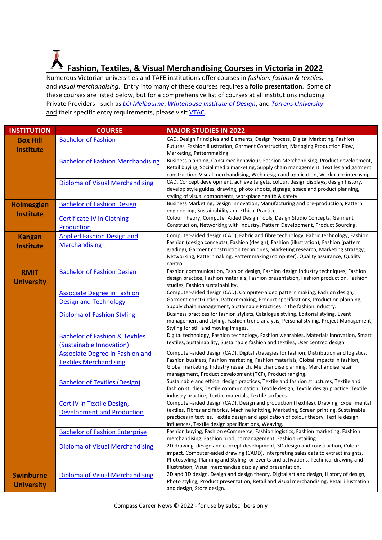# **Fashion, Textiles, & Visual Merchandising Courses in Victoria in 2022**

Numerous Victorian universities and TAFE institutions offer courses in *fashion, fashion & textiles,*  and *visual merchandising.* Entry into many of these courses requires a **folio presentation**. Some of these courses are listed below, but for a comprehensive list of courses at all institutions including Private Providers - such as *[LCI Melbourne](https://www.lcimelbourne.edu.au/bachelor/fashion-and-costume-design)*, *[Whitehouse Institute of Design](https://whitehouse-design.edu.au/bachelor-design-fashion-design/)*, and *[Torrens University](https://www.torrens.edu.au/courses/design/bachelor-of-branded-fashion-design)* - and their specific entry requirements, please visit [VTAC.](http://www.vtac.edu.au/)

| <b>INSTITUTION</b> | <b>COURSE</b>                             | <b>MAJOR STUDIES IN 2022</b>                                                                                                                                                    |
|--------------------|-------------------------------------------|---------------------------------------------------------------------------------------------------------------------------------------------------------------------------------|
| <b>Box Hill</b>    | <b>Bachelor of Fashion</b>                | CAD, Design Principles and Elements, Design Process, Digital Marketing, Fashion                                                                                                 |
| <b>Institute</b>   |                                           | Futures, Fashion Illustration, Garment Construction, Managing Production Flow,                                                                                                  |
|                    |                                           | Marketing, Patternmaking.                                                                                                                                                       |
|                    | <b>Bachelor of Fashion Merchandising</b>  | Business planning, Consumer behaviour, Fashion Merchandising, Product development,<br>Retail buying, Social media marketing, Supply chain management, Textiles and garment      |
|                    |                                           | construction, Visual merchandising, Web design and application, Workplace internship.                                                                                           |
|                    | <b>Diploma of Visual Merchandising</b>    | CAD, Concept development, achieve targets, colour, design displays, design history,                                                                                             |
|                    |                                           | develop style guides, drawing, photo shoots, signage, space and product planning,                                                                                               |
|                    |                                           | styling of visual components, workplace health & safety.                                                                                                                        |
| <b>Holmesglen</b>  | <b>Bachelor of Fashion Design</b>         | Business Marketing, Design innovation, Manufacturing and pre-production, Pattern                                                                                                |
| <b>Institute</b>   |                                           | engineering, Sustainability and Ethical Practice.                                                                                                                               |
|                    | <b>Certificate IV in Clothing</b>         | Colour Theory, Computer Aided Design Tools, Design Studio Concepts, Garment                                                                                                     |
|                    | Production                                | Construction, Networking with Industry, Pattern Development, Product Sourcing.                                                                                                  |
| <b>Kangan</b>      | <b>Applied Fashion Design and</b>         | Computer-aided design (CAD), Fabric and fibre technology, Fabric technology, Fashion,                                                                                           |
| <b>Institute</b>   | <b>Merchandising</b>                      | Fashion (design concepts), Fashion (design), Fashion (illustration), Fashion (pattern                                                                                           |
|                    |                                           | grading), Garment construction techniques, Marketing research, Marketing strategy,                                                                                              |
|                    |                                           | Networking, Patternmaking, Patternmaking (computer), Quality assurance, Quality<br>control.                                                                                     |
| <b>RMIT</b>        | <b>Bachelor of Fashion Design</b>         | Fashion communication, Fashion design, Fashion design industry techniques, Fashion                                                                                              |
|                    |                                           | design practice, Fashion materials, Fashion presentation, Fashion production, Fashion                                                                                           |
| <b>University</b>  |                                           | studies, Fashion sustainability.                                                                                                                                                |
|                    | <b>Associate Degree in Fashion</b>        | Computer-aided design (CAD), Computer-aided pattern making, Fashion design,                                                                                                     |
|                    | <b>Design and Technology</b>              | Garment construction, Patternmaking, Product specifications, Production planning,                                                                                               |
|                    |                                           | Supply chain management, Sustainable Practices in the fashion industry.                                                                                                         |
|                    | <b>Diploma of Fashion Styling</b>         | Business practices for fashion stylists, Catalogue styling, Editorial styling, Event                                                                                            |
|                    |                                           | management and styling, Fashion trend analysis, Personal styling, Project Management,<br>Styling for still and moving images.                                                   |
|                    | <b>Bachelor of Fashion &amp; Textiles</b> | Digital technology, Fashion technology, Fashion wearables, Materials innovation, Smart                                                                                          |
|                    | (Sustainable Innovation)                  | textiles, Sustainability, Sustainable fashion and textiles, User centred design.                                                                                                |
|                    |                                           | Computer-aided design (CAD), Digital strategies for fashion, Distribution and logistics,                                                                                        |
|                    | Associate Degree in Fashion and           | Fashion business, Fashion marketing, Fashion materials, Global impacts in fashion,                                                                                              |
|                    | <b>Textiles Merchandising</b>             | Global marketing, Industry research, Merchandise planning, Merchandise retail                                                                                                   |
|                    |                                           | management, Product development (TCF), Product ranging.                                                                                                                         |
|                    | <b>Bachelor of Textiles (Design)</b>      | Sustainable and ethical design practices, Textile and fashion structures, Textile and                                                                                           |
|                    |                                           | fashion studies, Textile communication, Textile design, Textile design practice, Textile                                                                                        |
|                    |                                           | industry practice, Textile materials, Textile surfaces.                                                                                                                         |
|                    | <b>Cert IV in Textile Design,</b>         | Computer-aided design (CAD), Design and production (Textiles), Drawing, Experimental<br>textiles, Fibres and fabrics, Machine knitting, Marketing, Screen printing, Sustainable |
|                    | <b>Development and Production</b>         | practices in textiles, Textile design and application of colour theory, Textile design                                                                                          |
|                    |                                           | influences, Textile design specifications, Weaving.                                                                                                                             |
|                    | <b>Bachelor of Fashion Enterprise</b>     | Fashion buying, Fashion eCommerce, Fashion logistics, Fashion marketing, Fashion                                                                                                |
|                    |                                           | merchandising, Fashion product management, Fashion retailing.                                                                                                                   |
|                    | Diploma of Visual Merchandising           | 2D drawing, design and concept development, 3D design and construction, Colour                                                                                                  |
|                    |                                           | impact, Computer-aided drawing (CADD), Interpreting sales data to extract insights,                                                                                             |
|                    |                                           | Photostyling, Planning and Styling for events and activations, Technical drawing and<br>Illustration, Visual merchandise display and presentation.                              |
| <b>Swinburne</b>   | <b>Diploma of Visual Merchandising</b>    | 2D and 3D design, Design and design theory, Digital art and design, History of design,                                                                                          |
|                    |                                           | Photo styling, Product presentation, Retail and visual merchandising, Retail illustration                                                                                       |
| <b>University</b>  |                                           | and design, Store design.                                                                                                                                                       |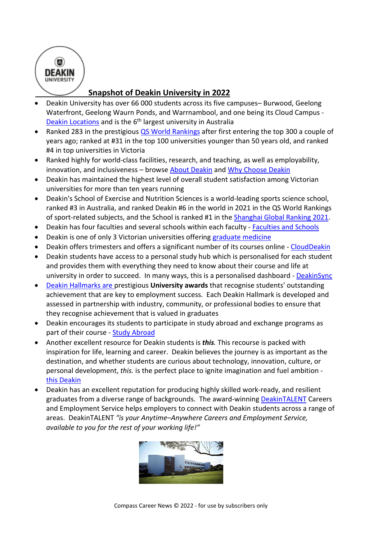

### **Snapshot of Deakin University in 2022**

- Deakin University has over 66 000 students across its five campuses– Burwood, Geelong Waterfront, Geelong Waurn Ponds, and Warrnambool, and one being its Cloud Campus - [Deakin Locations](https://www.deakin.edu.au/life-at-deakin/our-locations) and is the 6<sup>th</sup> largest university in Australia
- Ranked 283 in the prestigious [QS World Rankings](https://www.topuniversities.com/university-rankings/world-university-rankings/2022) after first entering the top 300 a couple of years ago; ranked at #31 in the top 100 universities younger than 50 years old, and ranked #4 in top universities in Victoria
- Ranked highly for world-class facilities, research, and teaching, as well as employability, innovation, and inclusiveness – browse [About Deakin](http://www.deakin.edu.au/about-deakin) and [Why Choose Deakin](http://www.deakin.edu.au/study-at-deakin/why-choose-deakin)
- Deakin has maintained the highest level of overall student satisfaction among Victorian universities for more than ten years running
- Deakin's School of Exercise and Nutrition Sciences is a world-leading sports science school, ranked #3 in Australia, and ranked Deakin #6 in the world in 2021 in the QS World Rankings of sport-related subjects, and the School is ranked #1 in th[e Shanghai Global Ranking 2021.](http://www.shanghairanking.com/rankings/grsssd/2021)
- Deakin has four faculties and several schools within each faculty [Faculties and Schools](http://www.deakin.edu.au/about-deakin/faculties-and-schools)
- Deakin is one of only 3 Victorian universities offering [graduate medicine](https://www.deakin.edu.au/course/doctor-medicine)
- Deakin offers trimesters and offers a significant number of its courses online [CloudDeakin](https://www.deakin.edu.au/students/home/cloud-students)
- Deakin students have access to a personal study hub which is personalised for each student and provides them with everything they need to know about their course and life at university in order to succeed. In many ways, this is a personalised dashboard - [DeakinSync](http://www.deakin.edu.au/deakinsync)
- [Deakin Hallmarks](http://www.deakin.edu.au/about-deakin/teaching-and-learning/deakin-hallmarks) are prestigious **University awards** that recognise students' outstanding achievement that are key to employment success. Each Deakin Hallmark is developed and assessed in partnership with industry, community, or professional bodies to ensure that they recognise achievement that is valued in graduates
- Deakin encourages its students to participate in study abroad and exchange programs as part of their course - [Study Abroad](http://www.deakin.edu.au/study-at-deakin/international-students/study-abroad-and-exchange)
- Another excellent resource for Deakin students is *this.* This recourse is packed with inspiration for life, learning and career. Deakin believes the journey is as important as the destination, and whether students are curious about technology, innovation, culture, or personal development, *this.* is the perfect place to ignite imagination and fuel ambition [this Deakin](http://this.deakin.edu.au/)
- Deakin has an excellent reputation for producing highly skilled work-ready, and resilient graduates from a diverse range of backgrounds. The award-winning [DeakinTALENT](http://deakintalent.deakin.edu.au/?_ga=2.126443208.41756736.1546220045-533099343.1477986563) Careers and Employment Service helps employers to connect with Deakin students across a range of areas. DeakinTALENT *"is your Anytime–Anywhere Careers and Employment Service, available to you for the rest of your working life!"*